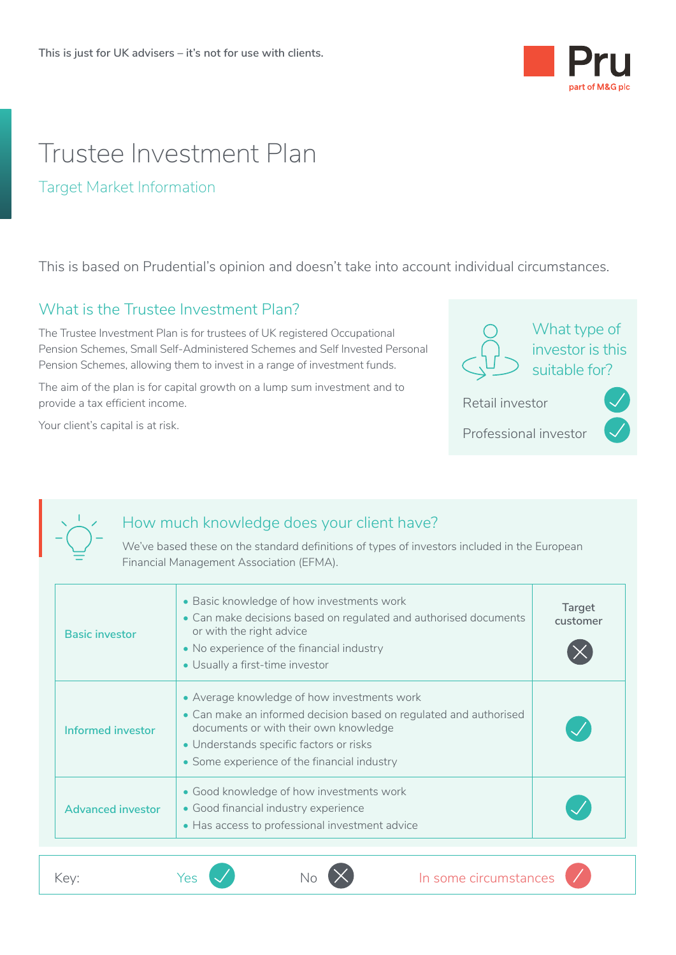

# Trustee Investment Plan

#### Target Market Information

This is based on Prudential's opinion and doesn't take into account individual circumstances.

### What is the Trustee Investment Plan?

The Trustee Investment Plan is for trustees of UK registered Occupational Pension Schemes, Small Self-Administered Schemes and Self Invested Personal Pension Schemes, allowing them to invest in a range of investment funds.

The aim of the plan is for capital growth on a lump sum investment and to provide a tax efficient income.

Your client's capital is at risk.



Professional investor



### How much knowledge does your client have?

We've based these on the standard definitions of types of investors included in the European Financial Management Association (EFMA).

| <b>Basic investor</b>    | • Basic knowledge of how investments work<br>• Can make decisions based on regulated and authorised documents<br>or with the right advice<br>• No experience of the financial industry<br>• Usually a first-time investor                           | Target<br>customer |
|--------------------------|-----------------------------------------------------------------------------------------------------------------------------------------------------------------------------------------------------------------------------------------------------|--------------------|
| Informed investor        | • Average knowledge of how investments work<br>• Can make an informed decision based on regulated and authorised<br>documents or with their own knowledge<br>• Understands specific factors or risks<br>• Some experience of the financial industry |                    |
| <b>Advanced investor</b> | Good knowledge of how investments work<br>• Good financial industry experience<br>• Has access to professional investment advice                                                                                                                    |                    |
| Key:                     | In some circumstances<br>Yes                                                                                                                                                                                                                        |                    |
|                          |                                                                                                                                                                                                                                                     |                    |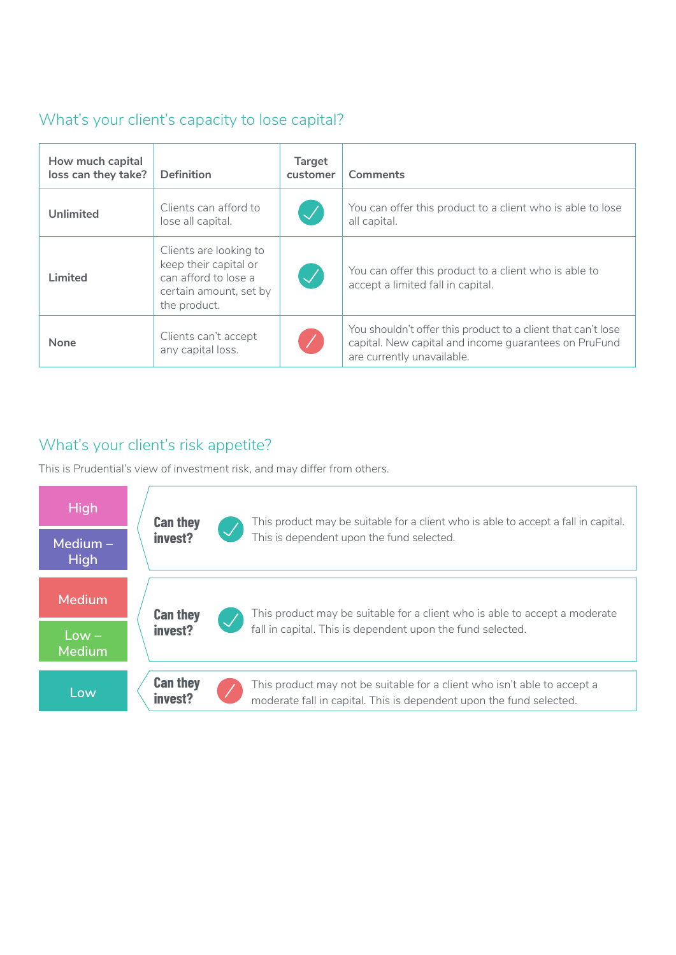# What's your client's capacity to lose capital?

| How much capital<br>loss can they take? | <b>Definition</b>                                                                                                 | <b>Target</b><br>customer  | Comments                                                                                                                                            |
|-----------------------------------------|-------------------------------------------------------------------------------------------------------------------|----------------------------|-----------------------------------------------------------------------------------------------------------------------------------------------------|
| <b>Unlimited</b>                        | Clients can afford to<br>lose all capital.                                                                        | $\bigvee$                  | You can offer this product to a client who is able to lose<br>all capital.                                                                          |
| Limited                                 | Clients are looking to<br>keep their capital or<br>can afford to lose a<br>certain amount, set by<br>the product. | $\boldsymbol{\mathcal{J}}$ | You can offer this product to a client who is able to<br>accept a limited fall in capital.                                                          |
| None                                    | Clients can't accept<br>any capital loss.                                                                         |                            | You shouldn't offer this product to a client that can't lose<br>capital. New capital and income guarantees on PruFund<br>are currently unavailable. |
|                                         |                                                                                                                   |                            |                                                                                                                                                     |

## What's your client's risk appetite?

This is Prudential's view of investment risk, and may differ from others.

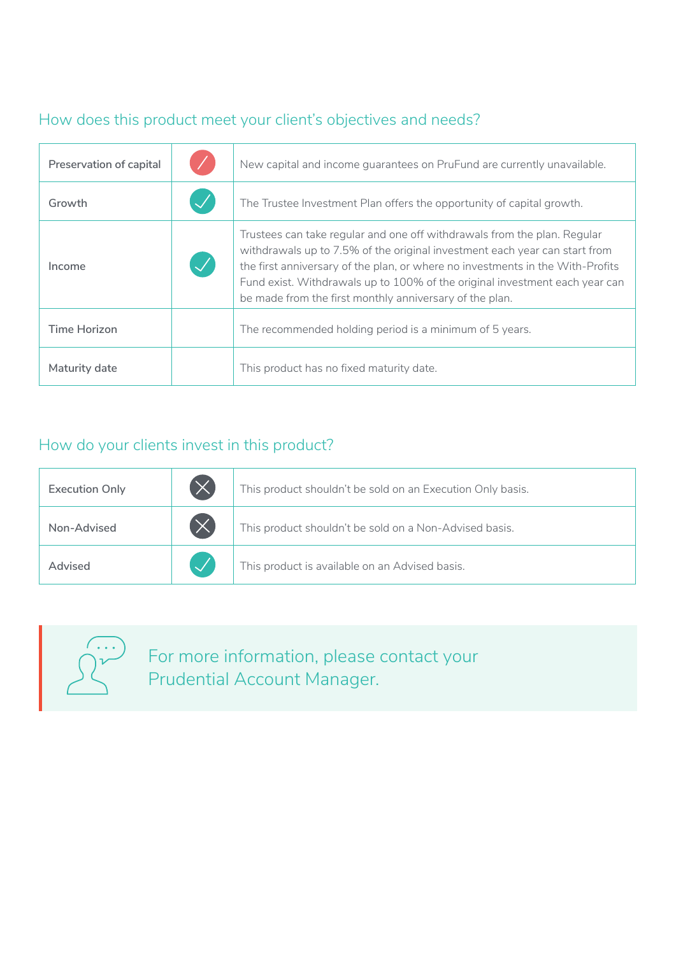# How does this product meet your client's objectives and needs?

| Preservation of capital | New capital and income quarantees on PruFund are currently unavailable.                                                                                                                                                                                                                                                                                                            |
|-------------------------|------------------------------------------------------------------------------------------------------------------------------------------------------------------------------------------------------------------------------------------------------------------------------------------------------------------------------------------------------------------------------------|
| Growth                  | The Trustee Investment Plan offers the opportunity of capital growth.                                                                                                                                                                                                                                                                                                              |
| Income                  | Trustees can take regular and one off withdrawals from the plan. Regular<br>withdrawals up to 7.5% of the original investment each year can start from<br>the first anniversary of the plan, or where no investments in the With-Profits<br>Fund exist. Withdrawals up to 100% of the original investment each year can<br>be made from the first monthly anniversary of the plan. |
| <b>Time Horizon</b>     | The recommended holding period is a minimum of 5 years.                                                                                                                                                                                                                                                                                                                            |
| Maturity date           | This product has no fixed maturity date.                                                                                                                                                                                                                                                                                                                                           |

# How do your clients invest in this product?

| <b>Execution Only</b> | $(\times)$ | This product shouldn't be sold on an Execution Only basis. |
|-----------------------|------------|------------------------------------------------------------|
| Non-Advised           | $(\times$  | This product shouldn't be sold on a Non-Advised basis.     |
| Advised               |            | This product is available on an Advised basis.             |
|                       |            |                                                            |



For more information, please contact your Prudential Account Manager.